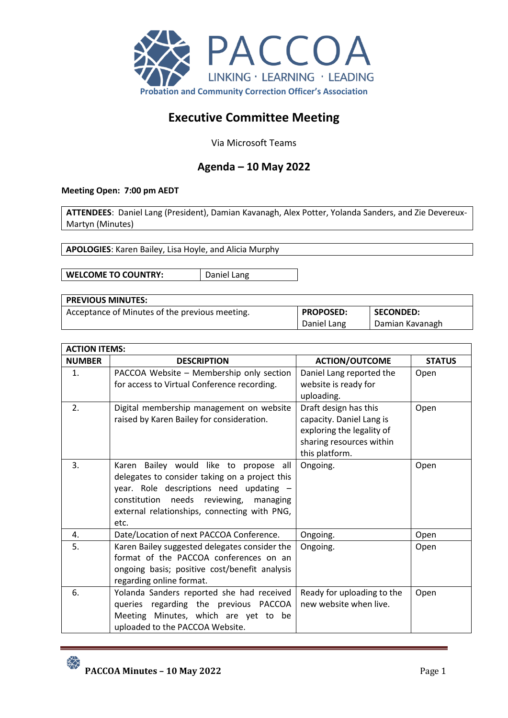

# **Executive Committee Meeting**

Via Microsoft Teams

## **Agenda – 10 May 2022**

## **Meeting Open: 7:00 pm AEDT**

**ATTENDEES**: Daniel Lang (President), Damian Kavanagh, Alex Potter, Yolanda Sanders, and Zie Devereux-Martyn (Minutes)

**APOLOGIES**: Karen Bailey, Lisa Hoyle, and Alicia Murphy

**WELCOME TO COUNTRY:** | Daniel Lang

| <b>PREVIOUS MINUTES:</b>                       |                  |                  |
|------------------------------------------------|------------------|------------------|
| Acceptance of Minutes of the previous meeting. | <b>PROPOSED:</b> | <b>SECONDED:</b> |
|                                                | Daniel Lang      | Damian Kavanagh  |

| <b>ACTION ITEMS:</b> |                                                                                                                                                                                                                                          |                                                                                                                              |               |
|----------------------|------------------------------------------------------------------------------------------------------------------------------------------------------------------------------------------------------------------------------------------|------------------------------------------------------------------------------------------------------------------------------|---------------|
| <b>NUMBER</b>        | <b>DESCRIPTION</b>                                                                                                                                                                                                                       | <b>ACTION/OUTCOME</b>                                                                                                        | <b>STATUS</b> |
| $\mathbf{1}$ .       | PACCOA Website - Membership only section<br>for access to Virtual Conference recording.                                                                                                                                                  | Daniel Lang reported the<br>website is ready for<br>uploading.                                                               | Open          |
| 2.                   | Digital membership management on website<br>raised by Karen Bailey for consideration.                                                                                                                                                    | Draft design has this<br>capacity. Daniel Lang is<br>exploring the legality of<br>sharing resources within<br>this platform. | Open          |
| 3.                   | Karen Bailey would like to propose all<br>delegates to consider taking on a project this<br>year. Role descriptions need updating -<br>constitution needs reviewing,<br>managing<br>external relationships, connecting with PNG,<br>etc. | Ongoing.                                                                                                                     | Open          |
| 4.                   | Date/Location of next PACCOA Conference.                                                                                                                                                                                                 | Ongoing.                                                                                                                     | Open          |
| 5.                   | Karen Bailey suggested delegates consider the<br>format of the PACCOA conferences on an<br>ongoing basis; positive cost/benefit analysis<br>regarding online format.                                                                     | Ongoing.                                                                                                                     | Open          |
| 6.                   | Yolanda Sanders reported she had received<br>queries regarding the previous PACCOA<br>Meeting Minutes, which are yet to be<br>uploaded to the PACCOA Website.                                                                            | Ready for uploading to the<br>new website when live.                                                                         | Open          |

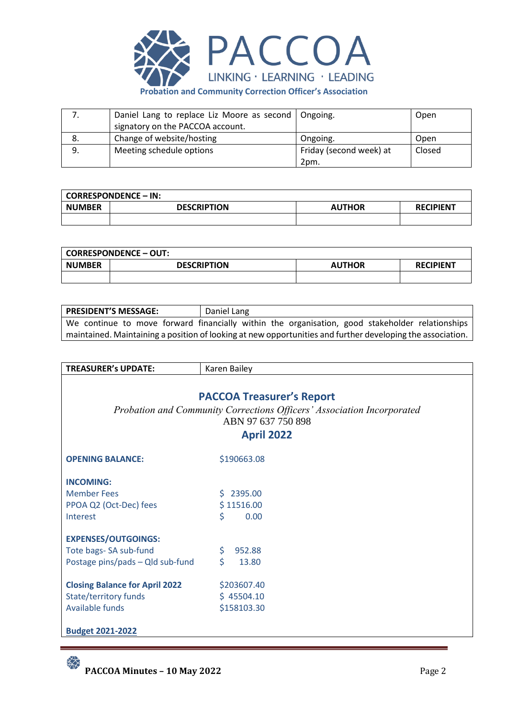

|    | Daniel Lang to replace Liz Moore as second   Ongoing. |                         | Open   |
|----|-------------------------------------------------------|-------------------------|--------|
|    | signatory on the PACCOA account.                      |                         |        |
| 8. | Change of website/hosting                             | Ongoing.                | Open   |
| 9. | Meeting schedule options                              | Friday (second week) at | Closed |
|    |                                                       | 2pm.                    |        |

|               | <b>CORRESPONDENCE – IN:</b> |               |                  |
|---------------|-----------------------------|---------------|------------------|
| <b>NUMBER</b> | <b>DESCRIPTION</b>          | <b>AUTHOR</b> | <b>RECIPIENT</b> |
|               |                             |               |                  |

|               | <b>CORRESPONDENCE - OUT:</b> |               |                  |
|---------------|------------------------------|---------------|------------------|
| <b>NUMBER</b> | <b>DESCRIPTION</b>           | <b>AUTHOR</b> | <b>RECIPIENT</b> |
|               |                              |               |                  |

| <b>PRESIDENT'S MESSAGE:</b>                                                                                | Daniel Lang                                                                                     |  |  |  |  |
|------------------------------------------------------------------------------------------------------------|-------------------------------------------------------------------------------------------------|--|--|--|--|
|                                                                                                            | We continue to move forward financially within the organisation, good stakeholder relationships |  |  |  |  |
| maintained. Maintaining a position of looking at new opportunities and further developing the association. |                                                                                                 |  |  |  |  |

| <b>TREASURER's UPDATE:</b><br>Karen Bailey<br><b>PACCOA Treasurer's Report</b><br>Probation and Community Corrections Officers' Association Incorporated<br>ABN 97 637 750 898<br><b>April 2022</b> |                                          |  |  |  |
|-----------------------------------------------------------------------------------------------------------------------------------------------------------------------------------------------------|------------------------------------------|--|--|--|
| <b>OPENING BALANCE:</b>                                                                                                                                                                             | \$190663.08                              |  |  |  |
| <b>INCOMING:</b><br><b>Member Fees</b><br>PPOA Q2 (Oct-Dec) fees<br>Interest                                                                                                                        | $5$ 2395.00<br>\$11516.00<br>\$<br>0.00  |  |  |  |
| <b>EXPENSES/OUTGOINGS:</b><br>Tote bags- SA sub-fund<br>Postage pins/pads - Qld sub-fund                                                                                                            | \$<br>952.88<br>Ś.<br>13.80              |  |  |  |
| <b>Closing Balance for April 2022</b><br>State/territory funds<br>Available funds<br><b>Budget 2021-2022</b>                                                                                        | \$203607.40<br>\$45504.10<br>\$158103.30 |  |  |  |

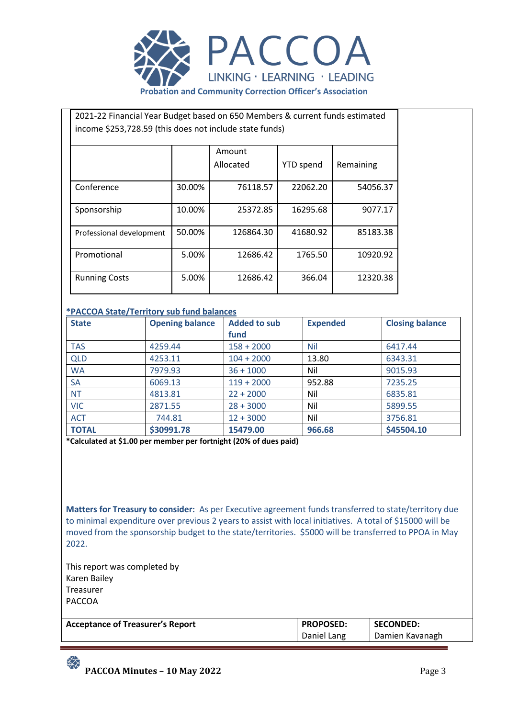

| 2021-22 Financial Year Budget based on 650 Members & current funds estimated |        |           |                  |           |  |  |  |  |
|------------------------------------------------------------------------------|--------|-----------|------------------|-----------|--|--|--|--|
| income \$253,728.59 (this does not include state funds)                      |        |           |                  |           |  |  |  |  |
|                                                                              |        |           |                  |           |  |  |  |  |
|                                                                              |        | Amount    |                  |           |  |  |  |  |
|                                                                              |        | Allocated | <b>YTD</b> spend | Remaining |  |  |  |  |
|                                                                              |        |           |                  |           |  |  |  |  |
| Conference                                                                   | 30.00% | 76118.57  | 22062.20         | 54056.37  |  |  |  |  |
|                                                                              |        |           |                  |           |  |  |  |  |
| Sponsorship                                                                  | 10.00% | 25372.85  | 16295.68         | 9077.17   |  |  |  |  |
|                                                                              |        |           |                  |           |  |  |  |  |
| Professional development                                                     | 50.00% | 126864.30 | 41680.92         | 85183.38  |  |  |  |  |
|                                                                              |        |           |                  |           |  |  |  |  |
| Promotional                                                                  | 5.00%  | 12686.42  | 1765.50          | 10920.92  |  |  |  |  |
|                                                                              |        |           |                  |           |  |  |  |  |
| <b>Running Costs</b>                                                         | 5.00%  | 12686.42  | 366.04           | 12320.38  |  |  |  |  |
|                                                                              |        |           |                  |           |  |  |  |  |

## **\*PACCOA State/Territory sub fund balances**

| <b>State</b> | <b>Opening balance</b> | <b>Added to sub</b> | <b>Expended</b> | <b>Closing balance</b> |
|--------------|------------------------|---------------------|-----------------|------------------------|
|              |                        | fund                |                 |                        |
| <b>TAS</b>   | 4259.44                | $158 + 2000$        | <b>Nil</b>      | 6417.44                |
| <b>QLD</b>   | 4253.11                | $104 + 2000$        | 13.80           | 6343.31                |
| <b>WA</b>    | 7979.93                | $36 + 1000$         | Nil             | 9015.93                |
| <b>SA</b>    | 6069.13                | $119 + 2000$        | 952.88          | 7235.25                |
| <b>NT</b>    | 4813.81                | $22 + 2000$         | Nil             | 6835.81                |
| <b>VIC</b>   | 2871.55                | $28 + 3000$         | Nil             | 5899.55                |
| <b>ACT</b>   | 744.81                 | $12 + 3000$         | Nil             | 3756.81                |
| <b>TOTAL</b> | \$30991.78             | 15479.00            | 966.68          | \$45504.10             |

**\*Calculated at \$1.00 per member per fortnight (20% of dues paid)**

**Matters for Treasury to consider:** As per Executive agreement funds transferred to state/territory due to minimal expenditure over previous 2 years to assist with local initiatives. A total of \$15000 will be moved from the sponsorship budget to the state/territories. \$5000 will be transferred to PPOA in May 2022.

This report was completed by Karen Bailey Treasurer PACCOA

 $\frac{1}{2}$ 

| <b>Acceptance of Treasurer's Report</b> | <b>PROPOSED:</b> | <b>SECONDED:</b> |
|-----------------------------------------|------------------|------------------|
|                                         | Daniel Lang      | Damien Kavanagh  |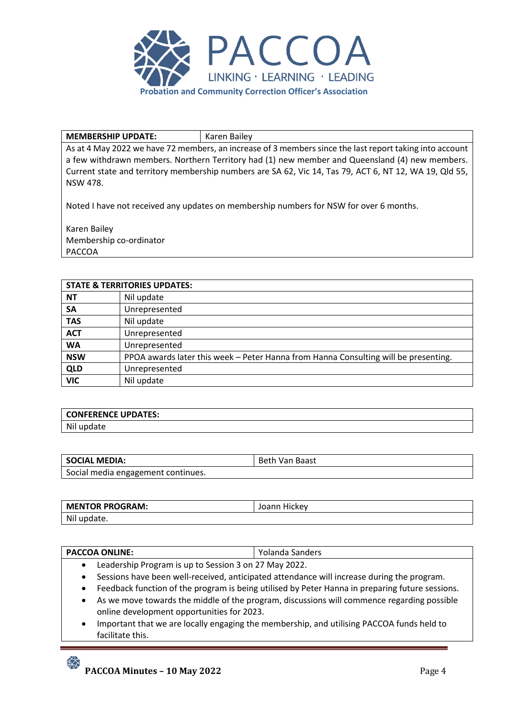

#### **MEMBERSHIP UPDATE:** Karen Bailey

As at 4 May 2022 we have 72 members, an increase of 3 members since the last report taking into account a few withdrawn members. Northern Territory had (1) new member and Queensland (4) new members. Current state and territory membership numbers are SA 62, Vic 14, Tas 79, ACT 6, NT 12, WA 19, Qld 55, NSW 478.

Noted I have not received any updates on membership numbers for NSW for over 6 months.

Karen Bailey Membership co-ordinator PACCOA

|            | <b>STATE &amp; TERRITORIES UPDATES:</b>                                             |
|------------|-------------------------------------------------------------------------------------|
| <b>NT</b>  | Nil update                                                                          |
| <b>SA</b>  | Unrepresented                                                                       |
| <b>TAS</b> | Nil update                                                                          |
| <b>ACT</b> | Unrepresented                                                                       |
| <b>WA</b>  | Unrepresented                                                                       |
| <b>NSW</b> | PPOA awards later this week - Peter Hanna from Hanna Consulting will be presenting. |
| <b>QLD</b> | Unrepresented                                                                       |
| <b>VIC</b> | Nil update                                                                          |

| <b>CONFERENCE UPDATES:</b> |  |
|----------------------------|--|
| Nil                        |  |

| <b>SOCIAL MEDIA:</b>               | Beth Van Baast |
|------------------------------------|----------------|
| Social media engagement continues. |                |

| <b>MENTOR PROGRAM:</b> | Hickey<br>Joann |
|------------------------|-----------------|
| Nil update.            |                 |

#### **PACCOA ONLINE:**  $|$  Yolanda Sanders

- Leadership Program is up to Session 3 on 27 May 2022.
- Sessions have been well-received, anticipated attendance will increase during the program.
- Feedback function of the program is being utilised by Peter Hanna in preparing future sessions.
- As we move towards the middle of the program, discussions will commence regarding possible online development opportunities for 2023.
- Important that we are locally engaging the membership, and utilising PACCOA funds held to facilitate this.